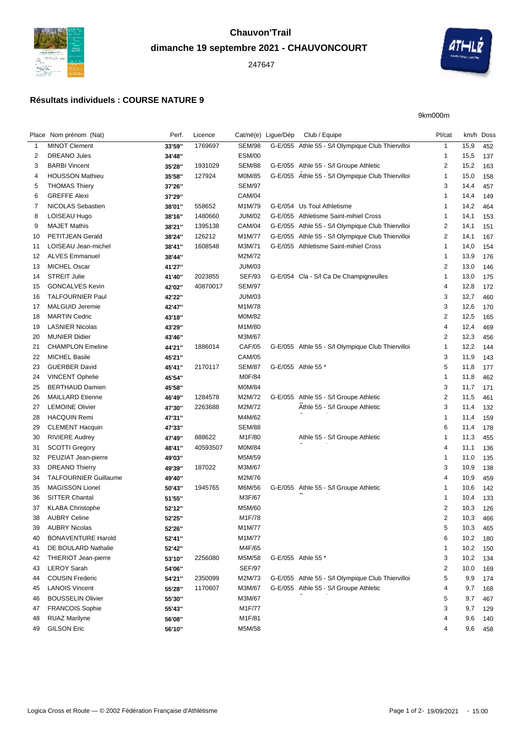

## **dimanche 19 septembre 2021 - CHAUVONCOURT**





9km000m

|          | Place Nom prénom (Nat)       | Perf.  | Licence  |                  | Cat/né(e) Ligue/Dép | Club / Equipe                                                                               | Pl/cat                  | km/h Doss  |     |
|----------|------------------------------|--------|----------|------------------|---------------------|---------------------------------------------------------------------------------------------|-------------------------|------------|-----|
| 1        | <b>MINOT Clement</b>         | 33'59" | 1769697  | <b>SEM/98</b>    |                     | G-E/055 Athle 55 - S/l Olympique Club Thiervilloi                                           | $\mathbf{1}$            | 15,9       | 452 |
| 2        | <b>DREANO Jules</b>          | 34'48" |          | <b>ESM/00</b>    |                     |                                                                                             | -1                      | 15,5       | 137 |
| 3        | <b>BARBI Vincent</b>         | 35'28" | 1931029  | <b>SEM/88</b>    |                     | G-E/055 Athle 55 - S/l Groupe Athletic                                                      | $\overline{\mathbf{c}}$ | 15,2       | 163 |
| 4        | <b>HOUSSON Mathieu</b>       | 35'58" | 127924   | M0M/85           |                     | G-E/055 Athle 55 - S/l Olympique Club Thiervilloi                                           | $\mathbf{1}$            | 15,0       | 158 |
| 5        | <b>THOMAS Thiery</b>         | 37'26" |          | <b>SEM/97</b>    |                     |                                                                                             | 3                       | 14,4       | 457 |
| 6        | <b>GREFFE Alexi</b>          | 37'29" |          | <b>CAM/04</b>    |                     |                                                                                             | -1                      | 14,4       | 149 |
| 7        | <b>NICOLAS Sebastien</b>     | 38'01" | 558652   | M1M/79           |                     | G-E/054 Us Toul Athletisme                                                                  | -1                      | 14,2       | 464 |
| 8        | LOISEAU Hugo                 | 38'16" | 1480660  | <b>JUM/02</b>    |                     | G-E/055 Athletisme Saint-mihiel Cross                                                       | $\mathbf 1$             | 14,1       | 153 |
| 9        | <b>MAJET Mathis</b>          | 38'21" | 1395138  | CAM/04           |                     | G-E/055 Athle 55 - S/l Olympique Club Thiervilloi                                           | $\overline{\mathbf{c}}$ | 14,1       | 151 |
| 10       | <b>PETITJEAN Gerald</b>      | 38'24" | 126212   | M1M/77           |                     | G-E/055 Athle 55 - S/l Olympique Club Thiervilloi                                           | 2                       | 14,1       | 167 |
| 11       | LOISEAU Jean-michel          | 38'41" | 1608548  | M3M/71           |                     | G-E/055 Athletisme Saint-mihiel Cross                                                       | $\mathbf{1}$            | 14,0       | 154 |
| 12       | <b>ALVES Emmanuel</b>        | 38'44" |          | M2M/72           |                     |                                                                                             | $\mathbf{1}$            | 13,9       | 176 |
| 13       | <b>MICHEL Oscar</b>          | 41'27" |          | <b>JUM/03</b>    |                     |                                                                                             | $\overline{2}$          | 13,0       | 146 |
| 14       | <b>STREIT Julie</b>          | 41'40" | 2023855  | <b>SEF/93</b>    |                     | G-E/054 Cla - S/I Ca De Champigneulles                                                      | $\mathbf 1$             | 13,0       | 175 |
| 15       | <b>GONCALVES Kevin</b>       | 42'02" | 40870017 | <b>SEM/97</b>    |                     |                                                                                             | 4                       | 12,8       | 172 |
| 16       | <b>TALFOURNIER Paul</b>      | 42'22" |          | <b>JUM/03</b>    |                     |                                                                                             | 3                       | 12,7       | 460 |
| 17       | MALGUID Jeremie              | 42'47" |          | M1M/78           |                     |                                                                                             | 3                       | 12,6       | 170 |
| 18       | <b>MARTIN Cedric</b>         | 43'18" |          | M0M/82           |                     |                                                                                             | $\overline{\mathbf{c}}$ | 12,5       | 165 |
| 19       | <b>LASNIER Nicolas</b>       | 43'29" |          | M1M/80           |                     |                                                                                             | 4                       | 12,4       | 469 |
| 20       | <b>MUNIER Didier</b>         | 43'46" |          | M3M/67           |                     |                                                                                             | 2                       | 12,3       | 456 |
| 21       | <b>CHAMPLON Emeline</b>      | 44'21" | 1886014  | <b>CAF/05</b>    |                     | G-E/055 Athle 55 - S/l Olympique Club Thiervilloi                                           | $\mathbf{1}$            | 12,2       | 144 |
| 22       | <b>MICHEL Basile</b>         | 45'21" |          | <b>CAM/05</b>    |                     |                                                                                             | 3                       | 11,9       | 143 |
| 23       | <b>GUERBER David</b>         | 45'41" | 2170117  | <b>SEM/87</b>    |                     | G-E/055 Athle 55 *                                                                          | 5                       | 11,8       | 177 |
| 24       | <b>VINCENT Ophelie</b>       | 45'54" |          | M0F/84           |                     |                                                                                             | $\mathbf 1$             | 11,8       | 462 |
| 25       | <b>BERTHAUD Damien</b>       | 45'58" |          | M0M/84           |                     |                                                                                             | 3                       | 11,7       | 171 |
| 26       | <b>MAILLARD Etienne</b>      | 46'49" | 1284578  | M2M/72           |                     | G-E/055 Athle 55 - S/l Groupe Athletic                                                      | $\overline{\mathbf{c}}$ | 11,5       | 461 |
| 27       | <b>LEMOINE Olivier</b>       | 47'30" | 2263688  | M2M/72           |                     | Athle 55 - S/I Groupe Athletic                                                              | 3                       | 11,4       | 132 |
| 28       | <b>HACQUIN Remi</b>          | 47'31" |          | M4M/62           |                     |                                                                                             | -1                      | 11,4       | 159 |
| 29       | <b>CLEMENT Hacquin</b>       | 47'33" |          | <b>SEM/88</b>    |                     |                                                                                             | 6                       | 11,4       | 178 |
| 30       | <b>RIVIERE Audrey</b>        | 47'49" | 888622   | M1F/80           |                     | Athle 55 - S/I Groupe Athletic                                                              | $\mathbf{1}$            | 11,3       | 455 |
| 31       | <b>SCOTTI Gregory</b>        | 48'41" | 40593507 | M0M/84           |                     |                                                                                             | 4                       | 11,1       | 136 |
| 32       | PEUZIAT Jean-pierre          | 49'03" |          | M5M/59           |                     |                                                                                             | $\mathbf{1}$            | 11,0       | 135 |
| 33       | <b>DREANO Thierry</b>        | 49'39" | 187022   | M3M/67           |                     |                                                                                             | 3                       | 10,9       | 138 |
| 34       | <b>TALFOURNIER Guillaume</b> | 49'40" |          | M2M/76           |                     |                                                                                             | 4                       | 10,9       | 459 |
| 35       | <b>MAGISSON Lionel</b>       | 50'43" | 1945765  | M6M/56           |                     | G-E/055 Athle 55 - S/l Groupe Athletic                                                      | -1                      | 10,6       | 142 |
| 36       | <b>SITTER Chantal</b>        | 51'55" |          | M3F/67           |                     |                                                                                             | $\overline{1}$          | 10,4       | 133 |
| 37       | <b>KLABA Christophe</b>      | 52'12" |          | M5M/60           |                     |                                                                                             | $\overline{2}$          | 10,3       | 126 |
| 38       | <b>AUBRY Celine</b>          | 52'25" |          | M1F/78           |                     |                                                                                             | 2                       | 10,3       | 466 |
| 39       | <b>AUBRY Nicolas</b>         | 52'26" |          | M1M/77           |                     |                                                                                             | 5                       | 10,3 465   |     |
| 40       | <b>BONAVENTURE Harold</b>    | 52'41" |          | M1M/77           |                     |                                                                                             | 6                       | 10,2       | 180 |
| 41       | DE BOULARD Nathalie          | 52'42" |          | M4F/65           |                     |                                                                                             | -1                      | 10,2       | 150 |
| 42       | <b>THIERIOT Jean-pierre</b>  | 53'10" | 2256080  | M5M/58           |                     | G-E/055 Athle 55 *                                                                          | 3                       | 10,2       | 134 |
| 43       | <b>LEROY Sarah</b>           | 54'06" |          | <b>SEF/97</b>    |                     |                                                                                             | 2                       | 10,0       | 169 |
|          | <b>COUSIN Frederic</b>       |        | 2350099  |                  |                     |                                                                                             | 5                       |            |     |
| 44<br>45 | <b>LANOIS Vincent</b>        | 54'21" | 1170607  | M2M/73<br>M3M/67 |                     | G-E/055 Athle 55 - S/l Olympique Club Thiervilloi<br>G-E/055 Athle 55 - S/I Groupe Athletic | 4                       | 9,9        | 174 |
| 46       | <b>BOUSSELIN Olivier</b>     | 55'28" |          | M3M/67           |                     |                                                                                             | 5                       | 9,7<br>9,7 | 168 |
|          |                              | 55'30" |          |                  |                     |                                                                                             | 3                       |            | 467 |
| 47       | <b>FRANCOIS Sophie</b>       | 55'43" |          | M1F/77           |                     |                                                                                             |                         | 9,7        | 129 |
| 48       | <b>RUAZ Marilyne</b>         | 56'08" |          | M1F/81           |                     |                                                                                             | 4                       | 9,6        | 140 |
| 49       | <b>GILSON Eric</b>           | 56'10" |          | M5M/58           |                     |                                                                                             | 4                       | 9,6        | 458 |